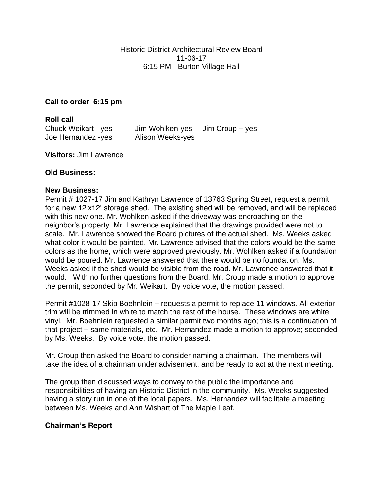**Call to order 6:15 pm**

**Roll call** Chuck Weikart - yes Jim Wohlken-yes Jim Croup – yes Joe Hernandez -yes Alison Weeks-yes

**Visitors:** Jim Lawrence

## **Old Business:**

## **New Business:**

Permit # 1027-17 Jim and Kathryn Lawrence of 13763 Spring Street, request a permit for a new 12'x12' storage shed. The existing shed will be removed, and will be replaced with this new one. Mr. Wohlken asked if the driveway was encroaching on the neighbor's property. Mr. Lawrence explained that the drawings provided were not to scale. Mr. Lawrence showed the Board pictures of the actual shed. Ms. Weeks asked what color it would be painted. Mr. Lawrence advised that the colors would be the same colors as the home, which were approved previously. Mr. Wohlken asked if a foundation would be poured. Mr. Lawrence answered that there would be no foundation. Ms. Weeks asked if the shed would be visible from the road. Mr. Lawrence answered that it would. With no further questions from the Board, Mr. Croup made a motion to approve the permit, seconded by Mr. Weikart. By voice vote, the motion passed.

Permit #1028-17 Skip Boehnlein – requests a permit to replace 11 windows. All exterior trim will be trimmed in white to match the rest of the house. These windows are white vinyl. Mr. Boehnlein requested a similar permit two months ago; this is a continuation of that project – same materials, etc. Mr. Hernandez made a motion to approve; seconded by Ms. Weeks. By voice vote, the motion passed.

Mr. Croup then asked the Board to consider naming a chairman. The members will take the idea of a chairman under advisement, and be ready to act at the next meeting.

The group then discussed ways to convey to the public the importance and responsibilities of having an Historic District in the community. Ms. Weeks suggested having a story run in one of the local papers. Ms. Hernandez will facilitate a meeting between Ms. Weeks and Ann Wishart of The Maple Leaf.

## **Chairman's Report**